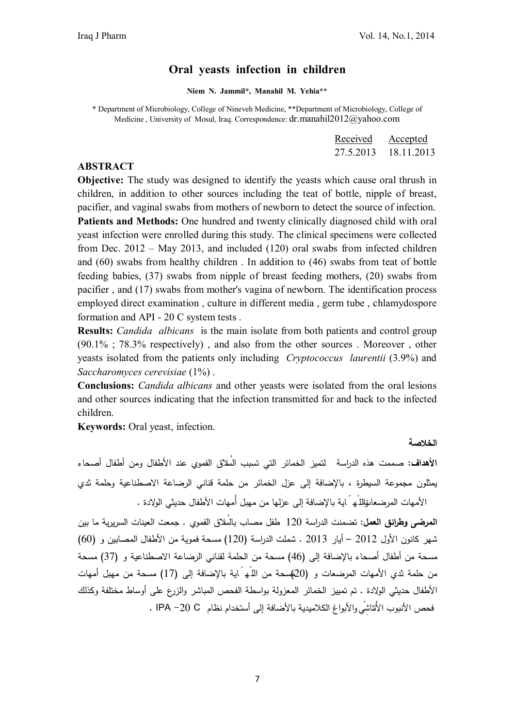#### **Oral yeasts infection in children**

**Niem N. Jammil\*, Manahil M. Yehia\*\***

\* Department of Microbiology, College of Nineveh Medicine, \*\*Department of Microbiology, College of Medicine , University of Mosul, Iraq. Correspondence: dr.manahil2012@yahoo.com

| Received  | Accepted   |
|-----------|------------|
| 27.5.2013 | 18.11.2013 |

#### **ABSTRACT**

**Objective:** The study was designed to identify the yeasts which cause oral thrush in children, in addition to other sources including the teat of bottle, nipple of breast, pacifier, and vaginal swabs from mothers of newborn to detect the source of infection. **Patients and Methods:** One hundred and twenty clinically diagnosed child with oral yeast infection were enrolled during this study. The clinical specimens were collected from Dec. 2012 – May 2013, and included (120) oral swabs from infected children and (60) swabs from healthy children . In addition to (46) swabs from teat of bottle feeding babies, (37) swabs from nipple of breast feeding mothers, (20) swabs from pacifier , and (17) swabs from mother's vagina of newborn. The identification process employed direct examination , culture in different media , germ tube , chlamydospore formation and API - 20 C system tests .

**Results:** *Candida albicans* is the main isolate from both patients and control group (90.1% ; 78.3% respectively) , and also from the other sources . Moreover , other yeasts isolated from the patients only including *Cryptococcus laurentii* (3.9%) and *Saccharomyces cerevisiae* (1%) .

**Conclusions:** *Candida albicans* and other yeasts were isolated from the oral lesions and other sources indicating that the infection transmitted for and back to the infected children.

**Keywords:** Oral yeast, infection.

**الخلاصة** 

**الأهداف:** صممت هذه الدراسةلتمیز الخمائر التي تسبب السُلاق الفموي عند الأطفال ومن أطفال أصحاء یمثلون مجموعة السیطر ة ، بالإضافة إلى عزل الخمائر من حلمة قناني الرضاعة الاصطناعیة وحلمة ثدي الأمهات المرضعاتواللًه ً ایة بالإضافة إلى عزلها من مهبل أُمهات الأطفال حدیثي الولادة .

**المرضى وطرائق العمل:** تضمنت الدراسة 120 طفل مصاب بالسُلاق الفموي . جمعت العینات السریریة ما بین شهر كانون الأول 2012 – أیار 2013 . شملت الدراسة (120) مسحة فمویة من الأطفال المصابین و (60) مسحة من أطفال أصحاء بالإضافة إلى (46) مسحة من الحلمة لقناني الرضاعة الاصطناعیة و (37) مسحة من حلمة ثدي الأمهات المرضعات و (20) مسحة من اللًه ً ایة بالإضافة إلى (17) مسحة من مهبل أمهات الأطفال حدیثي الولادة . تم تمییز الخمائر المعزولة بواسطة الفحص المباشر والزرع على أوساط مختلفة وكذلك فحص الأنبوب الأنْتاشِ يْ والأبواغ الكلامیدیة بالأضافة إلى أستخدام نظام C -20 IPA .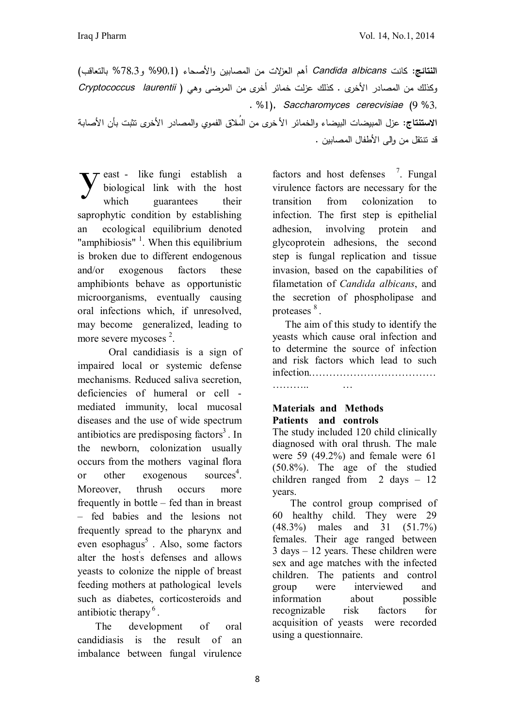**النتائج:** كانت *aIbicans Candida* أهم العزلات من المصابین و الأصحاء (1'%90 و3'%78 بالتعاقب) وكذلك من المصادر الأخرى . كذلك عزلت خمائر أخرى من المرضى وهي ( *laurentii Cryptococcus* **.** %1**),** *Saccharomyces cerecvisiae* **(**9 %3' **الاستنتاج:** عزل المبیضات البیضاء والخمائر الأ خرى من السُلاق الفموي والمصادر الأخرى تثبت بأن الأصابة قد تنتقل من وإلى الأطفال المصابین .

east - like fungi establish a biological link with the host which guarantees their saprophytic condition by establishing an ecological equilibrium denoted "amphibiosis" $<sup>1</sup>$ . When this equilibrium</sup> is broken due to different endogenous and/or exogenous factors these amphibionts behave as opportunistic microorganisms, eventually causing oral infections which, if unresolved, may become generalized, leading to more severe mycoses<sup>2</sup>. y

Oral candidiasis is a sign of impaired local or systemic defense mechanisms. Reduced saliva secretion, deficiencies of humeral or cell mediated immunity, local mucosal diseases and the use of wide spectrum antibiotics are predisposing factors<sup>3</sup>. In the newborn, colonization usually occurs from the mothers vaginal flora or other exogenous sources<sup>4</sup>. Moreover, thrush occurs more frequently in bottle – fed than in breast – fed babies and the lesions not frequently spread to the pharynx and even esophagus<sup>5</sup>. Also, some factors alter the host' s defenses and allows yeasts to colonize the nipple of breast feeding mothers at pathological levels such as diabetes, corticosteroids and antibiotic therapy<sup>6</sup>.

 The development of oral candidiasis is the result of an imbalance between fungal virulence

factors and host defenses <sup>7</sup>. Fungal virulence factors are necessary for the transition from colonization to infection. The first step is epithelial adhesion, involving protein and glycoprotein adhesions, the second step is fungal replication and tissue invasion, based on the capabilities of filametation of *Candida albicans*, and the secretion of phospholipase and proteases  $^{8}$ .

 The aim of this study to identify the yeasts which cause oral infection and to determine the source of infection and risk factors which lead to such infection.……………………………… ……….. …

### **Materials and Methods Patients and controls**

The study included 120 child clinically diagnosed with oral thrush. The male were 59 (49.2%) and female were 61 (50.8%). The age of the studied children ranged from 2 days – 12 years.

 The control group comprised of 60 healthy child. They were 29 (48.3%) males and 31 (51.7%) females. Their age ranged between 3 days – 12 years. These children were sex and age matches with the infected children. The patients and control group were interviewed and information about possible recognizable risk factors for acquisition of yeasts were recorded using a questionnaire.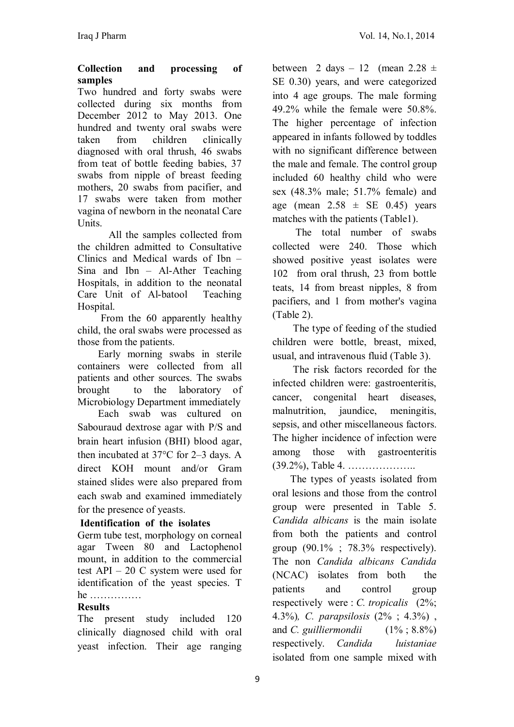#### **Collection and processing of samples**

Two hundred and forty swabs were collected during six months from December 2012 to May 2013. One hundred and twenty oral swabs were taken from children clinically diagnosed with oral thrush, 46 swabs from teat of bottle feeding babies, 37 swabs from nipple of breast feeding mothers, 20 swabs from pacifier, and 17 swabs were taken from mother vagina of newborn in the neonatal Care Units.

All the samples collected from the children admitted to Consultative Clinics and Medical wards of Ibn – Sina and Ibn – Al-Ather Teaching Hospitals, in addition to the neonatal Care Unit of Al-batool Teaching Hospital.

 From the 60 apparently healthy child, the oral swabs were processed as those from the patients.

 Early morning swabs in sterile containers were collected from all patients and other sources. The swabs brought to the laboratory of Microbiology Department immediately

 Each swab was cultured on Sabouraud dextrose agar with P/S and brain heart infusion (BHI) blood agar, then incubated at 37°C for 2–3 days. A direct KOH mount and/or Gram stained slides were also prepared from each swab and examined immediately for the presence of yeasts.

# **Identification of the isolates**

Germ tube test, morphology on corneal agar Tween 80 and Lactophenol mount, in addition to the commercial test API – 20 C system were used for identification of the yeast species. T he ……………

### **Results**

The present study included 120 clinically diagnosed child with oral yeast infection. Their age ranging between 2 days  $-12$  (mean 2.28  $\pm$ SE 0.30) years, and were categorized into 4 age groups. The male forming 49.2% while the female were 50.8%. The higher percentage of infection appeared in infants followed by toddles with no significant difference between the male and female. The control group included 60 healthy child who were sex (48.3% male; 51.7% female) and age (mean  $2.58 \pm \text{SE}$  0.45) years matches with the patients (Table1).

 The total number of swabs collected were 240. Those which showed positive yeast isolates were 102 from oral thrush, 23 from bottle teats, 14 from breast nipples, 8 from pacifiers, and 1 from mother's vagina (Table 2).

 The type of feeding of the studied children were bottle, breast, mixed, usual, and intravenous fluid (Table 3).

 The risk factors recorded for the infected children were: gastroenteritis, cancer, congenital heart diseases, malnutrition, jaundice, meningitis, sepsis, and other miscellaneous factors. The higher incidence of infection were among those with gastroenteritis (39.2%), Table 4. ………………..

 The types of yeasts isolated from oral lesions and those from the control group were presented in Table 5. *Candida albicans* is the main isolate from both the patients and control group  $(90.1\% \div 78.3\%$  respectively). The non *Candida albicans Candida*  (NCAC) isolates from both the patients and control group respectively were : *C. tropicalis* (2%; 4.3%)*, C. parapsilosis* (2% ; 4.3%) , and *C. guilliermondii* (1% ; 8.8%) respectively. *Candida luistaniae* isolated from one sample mixed with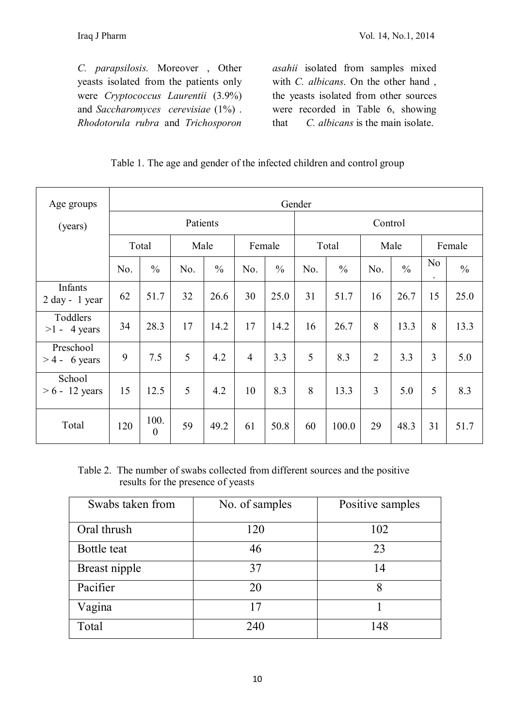*C. parapsilosis.* Moreover , Other yeasts isolated from the patients only were *Cryptococcus Laurentii* (3.9%) and *Saccharomyces cerevisiae* (1%) . *Rhodotorula rubra* and *Trichosporon* 

*asahii* isolated from samples mixed with *C. albicans*. On the other hand , the yeasts isolated from other sources were recorded in Table 6, showing that *C. albicans* is the main isolate.

### Table 1. The age and gender of the infected children and control group

| Age groups                   | Gender |                        |          |               |                |               |       |               |                |               |                             |               |
|------------------------------|--------|------------------------|----------|---------------|----------------|---------------|-------|---------------|----------------|---------------|-----------------------------|---------------|
| (years)                      |        |                        | Patients |               |                |               |       |               | Control        |               |                             |               |
|                              |        | Total                  | Male     |               | Female         |               | Total |               | Male           |               | Female                      |               |
|                              | No.    | $\frac{0}{0}$          | No.      | $\frac{0}{0}$ | No.            | $\frac{0}{0}$ | No.   | $\frac{0}{0}$ | No.            | $\frac{0}{0}$ | N <sub>0</sub><br>$\bullet$ | $\frac{0}{0}$ |
| Infants<br>$2 day - 1 year$  | 62     | 51.7                   | 32       | 26.6          | 30             | 25.0          | 31    | 51.7          | 16             | 26.7          | 15                          | 25.0          |
| Toddlers<br>$>1 - 4$ years   | 34     | 28.3                   | 17       | 14.2          | 17             | 14.2          | 16    | 26.7          | 8              | 13.3          | 8                           | 13.3          |
| Preschool<br>$> 4 - 6$ years | 9      | 7.5                    | 5        | 4.2           | $\overline{4}$ | 3.3           | 5     | 8.3           | $\overline{2}$ | 3.3           | $\overline{3}$              | 5.0           |
| School<br>$> 6 - 12$ years   | 15     | 12.5                   | 5        | 4.2           | 10             | 8.3           | 8     | 13.3          | $\overline{3}$ | 5.0           | 5                           | 8.3           |
| Total                        | 120    | 100.<br>$\overline{0}$ | 59       | 49.2          | 61             | 50.8          | 60    | 100.0         | 29             | 48.3          | 31                          | 51.7          |

Table 2. The number of swabs collected from different sources and the positive results for the presence of yeasts

| Swabs taken from | No. of samples | Positive samples |
|------------------|----------------|------------------|
| Oral thrush      | 120            | 102              |
| Bottle teat      | 46             | 23               |
| Breast nipple    | 37             | 14               |
| Pacifier         | 20             |                  |
| Vagina           | 17             |                  |
| Total            | 240            | 148              |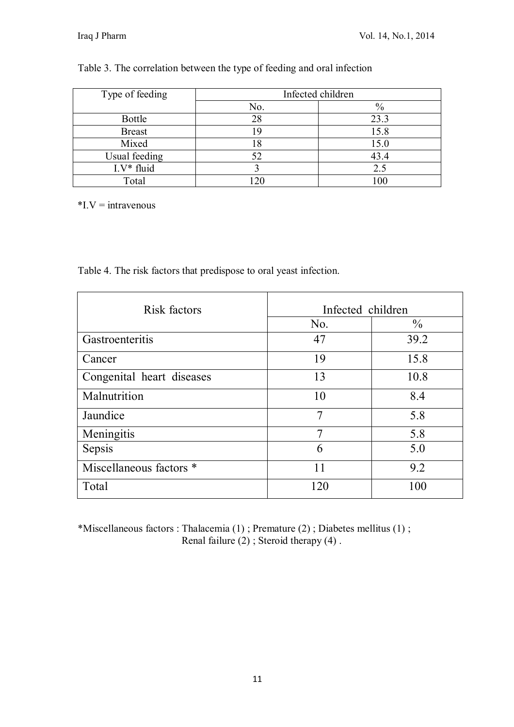## Table 3. The correlation between the type of feeding and oral infection

| Type of feeding | Infected children |      |  |  |  |
|-----------------|-------------------|------|--|--|--|
|                 | No.               | $\%$ |  |  |  |
| Bottle          | 28                | 23.3 |  |  |  |
| <b>Breast</b>   | 19                | 15.8 |  |  |  |
| Mixed           |                   | 15.0 |  |  |  |
| Usual feeding   |                   | 43.4 |  |  |  |
| $I.V^*$ fluid   |                   | 2.5  |  |  |  |
| Total           |                   | 100  |  |  |  |

 $*$ I.V = intravenous

Table 4. The risk factors that predispose to oral yeast infection.

| Risk factors              | Infected children |               |  |  |
|---------------------------|-------------------|---------------|--|--|
|                           | No.               | $\frac{0}{0}$ |  |  |
| Gastroenteritis           | 47                | 39.2          |  |  |
| Cancer                    | 19                | 15.8          |  |  |
| Congenital heart diseases | 13                | 10.8          |  |  |
| Malnutrition              | 10                | 8.4           |  |  |
| Jaundice                  | $\overline{7}$    | 5.8           |  |  |
| Meningitis                |                   | 5.8           |  |  |
| Sepsis                    | 6                 | 5.0           |  |  |
| Miscellaneous factors *   | 11                | 9.2           |  |  |
| Total                     | 120               | 100           |  |  |

\*Miscellaneous factors : Thalacemia (1) ; Premature (2) ; Diabetes mellitus (1) ; Renal failure  $(2)$ ; Steroid therapy  $(4)$ .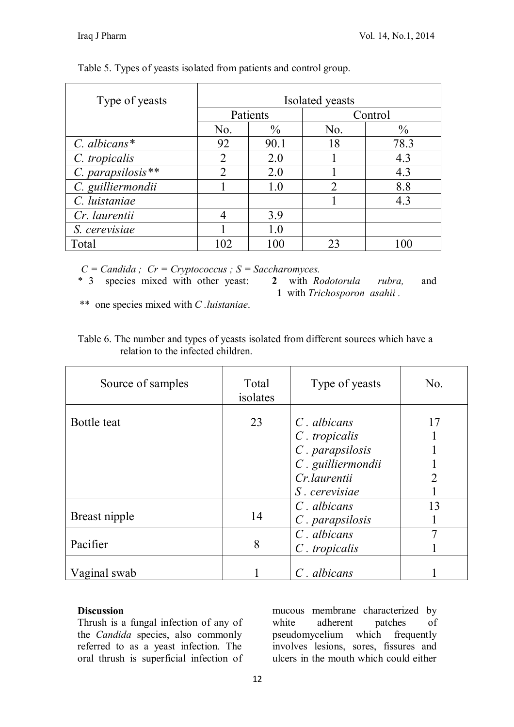| Type of yeasts      | Isolated yeasts |               |                             |               |  |  |
|---------------------|-----------------|---------------|-----------------------------|---------------|--|--|
|                     | Patients        |               |                             | Control       |  |  |
|                     | No.             | $\frac{0}{0}$ | No.                         | $\frac{0}{0}$ |  |  |
| $C.$ albicans*      | 92              | 90.1          | 18                          | 78.3          |  |  |
| C. tropicalis       | $\overline{2}$  | 2.0           |                             | 4.3           |  |  |
| $C.$ parapsilosis** | $\mathfrak{D}$  | 2.0           |                             | 4.3           |  |  |
| C. guilliermondii   |                 | 1.0           | $\mathcal{D}_{\mathcal{A}}$ | 8.8           |  |  |
| C. luistaniae       |                 |               |                             | 4.3           |  |  |
| Cr. laurentii       |                 | 3.9           |                             |               |  |  |
| S. cerevisiae       |                 | 1.0           |                             |               |  |  |
| Total               | 102             | 100           | 23                          |               |  |  |

Table 5. Types of yeasts isolated from patients and control group.

 $C = C$ *andida ; Cr* = *Cryptococcus ; S* = *Saccharomyces.*<br> **\*** 3 species mixed with other yeast: 2 with *Rodotorula* 

\* 3 species mixed with other yeast: **2** with *Rodotorula rubra,* and **1** with *Trichosporon asahii .* 

\*\* one species mixed with *C .luistaniae*.

| Table 6. The number and types of yeasts isolated from different sources which have a |  |  |  |  |
|--------------------------------------------------------------------------------------|--|--|--|--|
| relation to the infected children.                                                   |  |  |  |  |

| Source of samples | Total<br>isolates | Type of yeasts                                                                                             | No.     |
|-------------------|-------------------|------------------------------------------------------------------------------------------------------------|---------|
| Bottle teat       | 23                | $C$ . albicans<br>$C.$ tropicalis<br>C. parapsilosis<br>C. guilliermondii<br>Cr.laurentii<br>S. cerevisiae | 17<br>າ |
| Breast nipple     | 14                | $C$ . albicans<br>$C$ . parapsilosis                                                                       | 13      |
| Pacifier          | 8                 | $C$ . albicans<br>$C$ . tropicalis                                                                         |         |
| Vaginal swab      |                   | $C$ . albicans                                                                                             |         |

### **Discussion**

Thrush is a fungal infection of any of the *Candida* species, also commonly referred to as a yeast infection. The oral thrush is superficial infection of

mucous membrane characterized by white adherent patches of pseudomycelium which frequently involves lesions, sores, fissures and ulcers in the mouth which could either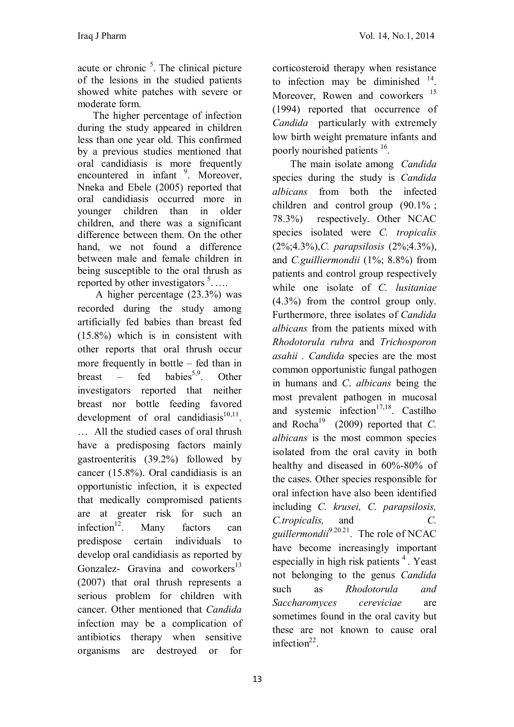acute or chronic  $<sup>5</sup>$ . The clinical picture</sup> of the lesions in the studied patients showed white patches with severe or moderate form.

 The higher percentage of infection during the study appeared in children less than one year old. This confirmed by a previous studies mentioned that oral candidiasis is more frequently encountered in infant <sup>9</sup>. Moreover, Nneka and Ebele (2005) reported that oral candidiasis occurred more in younger children than in older children, and there was a significant difference between them. On the other hand, we not found a difference between male and female children in being susceptible to the oral thrush as reported by other investigators  $5$ ....

 A higher percentage (23.3%) was recorded during the study among artificially fed babies than breast fed (15.8%) which is in consistent with other reports that oral thrush occur more frequently in bottle – fed than in breast – fed babies<sup>5,9</sup> . Other investigators reported that neither breast nor bottle feeding favored development of oral candidiasis $10,11$ . … All the studied cases of oral thrush have a predisposing factors mainly gastroenteritis (39.2%) followed by cancer (15.8%). Oral candidiasis is an opportunistic infection, it is expected that medically compromised patients are at greater risk for such an infection $12$ Many factors can predispose certain individuals to develop oral candidiasis as reported by Gonzalez- Gravina and coworkers<sup>13</sup> (2007) that oral thrush represents a serious problem for children with cancer. Other mentioned that *Candida*  infection may be a complication of antibiotics therapy when sensitive organisms are destroyed or for

corticosteroid therapy when resistance to infection may be diminished  $14$ . Moreover, Rowen and coworkers <sup>15</sup> (1994) reported that occurrence of *Candida* particularly with extremely low birth weight premature infants and poorly nourished patients <sup>16</sup>.

 The main isolate among *Candida*  species during the study is *Candida albicans* from both the infected children and control group (90.1% ; 78.3%) respectively. Other NCAC species isolated were *C. tropicalis* (2%;4.3%),*C. parapsilosis* (2%;4.3%), and *C.guilliermondii* (1%; 8.8%) from patients and control group respectively while one isolate of *C. lusitaniae*  (4.3%) from the control group only. Furthermore, three isolates of *Candida albicans* from the patients mixed with *Rhodotorula rubra* and *Trichosporon asahii . Candida* species are the most common opportunistic fungal pathogen in humans and *C*. *albicans* being the most prevalent pathogen in mucosal and systemic infection<sup>17,18</sup>. Castilho and Rocha<sup>19</sup> (2009) reported that *C*. *albicans* is the most common species isolated from the oral cavity in both healthy and diseased in 60%-80% of the cases. Other species responsible for oral infection have also been identified including *C. krusei, C. parapsilosis, C.tropicalis,* and *C. guillermondii*9.20.21 . The role of NCAC have become increasingly important especially in high risk patients  $4$ . Yeast not belonging to the genus *Candida*  such as *Rhodotorula and Saccharomyces cereviciae* are sometimes found in the oral cavity but these are not known to cause oral infection<sup>22</sup>.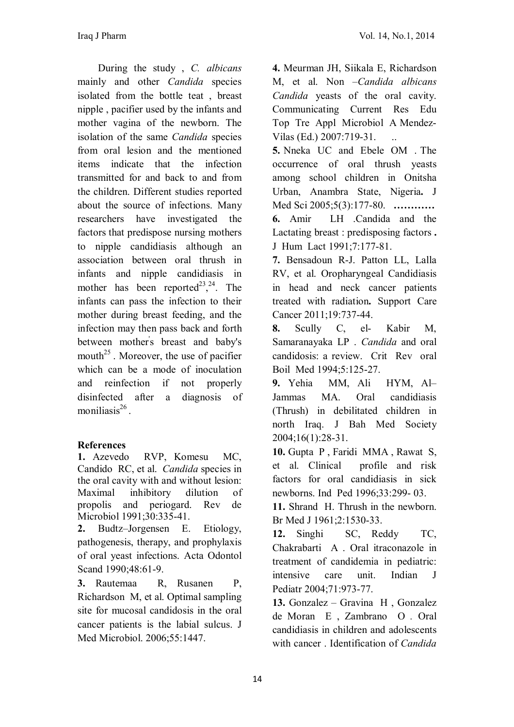During the study , *C. albicans*  mainly and other *Candida* species isolated from the bottle teat , breast nipple , pacifier used by the infants and mother vagina of the newborn. The isolation of the same *Candida* species from oral lesion and the mentioned items indicate that the infection transmitted for and back to and from the children. Different studies reported about the source of infections. Many researchers have investigated the factors that predispose nursing mothers to nipple candidiasis although an association between oral thrush in infants and nipple candidiasis in mother has been reported<sup>23</sup>,<sup>24</sup>. The infants can pass the infection to their mother during breast feeding, and the infection may then pass back and forth between mother' s breast and baby's mouth<sup>25</sup>. Moreover, the use of pacifier which can be a mode of inoculation and reinfection if not properly disinfected after a diagnosis of moniliasis<sup>26</sup>.

# **References**

**1.** Azevedo RVP, Komesu MC, Candido RC, et al. *Candida* species in the oral cavity with and without lesion: Maximal inhibitory dilution of propolis and periogard. Rev de Microbiol 1991;30:335-41.

**2.** Budtz–Jorgensen E. Etiology, pathogenesis, therapy, and prophylaxis of oral yeast infections. Acta Odontol Scand 1990;48:61-9.

**3.** Rautemaa R, Rusanen P, Richardson M, et al. Optimal sampling site for mucosal candidosis in the oral cancer patients is the labial sulcus. J Med Microbiol. 2006;55:1447.

**4.** Meurman JH, Siikala E, Richardson M, et al. Non –*Candida albicans Candida* yeasts of the oral cavity. Communicating Current Res Edu Top Tre Appl Microbiol A Mendez-Vilas (Ed.) 2007:719-31. ..

**5.** Nneka UC and Ebele OM . The occurrence of oral thrush yeasts among school children in Onitsha Urban, Anambra State, Nigeria**.** J Med Sci 2005;5(3):177-80. **………… 6.** Amir LH .Candida and the Lactating breast : predisposing factors **.**  J Hum Lact 1991;7:177-81.

**7.** Bensadoun R-J. Patton LL, Lalla RV, et al. Oropharyngeal Candidiasis in head and neck cancer patients treated with radiation**.** Support Care Cancer 2011;19:737-44.

**8.** Scully C, el- Kabir M, Samaranayaka LP . *Candida* and oral candidosis: a review. Crit Rev oral Boil Med 1994;5:125-27.

**9.** Yehia MM, Ali HYM, Al– Jammas MA. Oral candidiasis (Thrush) in debilitated children in north Iraq. J Bah Med Society 2004;16(1):28-31.

**10.** Gupta P , Faridi MMA , Rawat S, et al. Clinical profile and risk factors for oral candidiasis in sick newborns. Ind Ped 1996;33:299- 03.

**11.** Shrand H. Thrush in the newborn. Br Med J 1961;2:1530-33.

**12.** Singhi SC, Reddy TC, Chakrabarti A . Oral itraconazole in treatment of candidemia in pediatric: intensive care unit. Indian J Pediatr 2004;71:973-77.

**13.** Gonzalez – Gravina H , Gonzalez de Moran E , Zambrano O *.* Oral candidiasis in children and adolescents with cancer . Identification of *Candida*